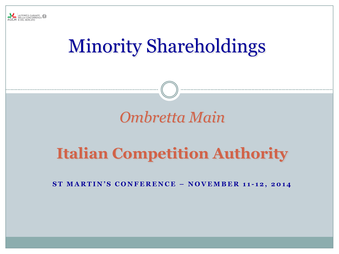

# Minority Shareholdings

# *Ombretta Main*

# **Italian Competition Authority**

**S T M A R T I N ' S C O N F E R E N C E – N O V E M B E R 1 1 - 1 2 , 2 0 1 4**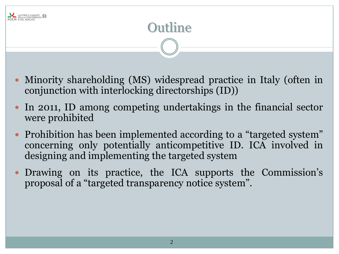

- Minority shareholding (MS) widespread practice in Italy (often in conjunction with interlocking directorships (ID))
- In 2011, ID among competing undertakings in the financial sector were prohibited
- Prohibition has been implemented according to a "targeted system" concerning only potentially anticompetitive ID. ICA involved in designing and implementing the targeted system
- Drawing on its practice, the ICA supports the Commission's proposal of a "targeted transparency notice system".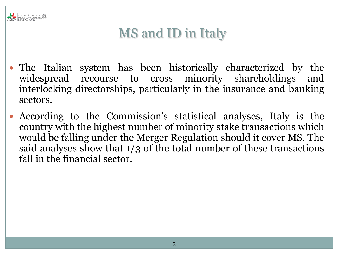

# MS and ID in Italy

- The Italian system has been historically characterized by the widespread recourse to cross minority shareholdings and interlocking directorships, particularly in the insurance and banking sectors.
- According to the Commission's statistical analyses, Italy is the country with the highest number of minority stake transactions which would be falling under the Merger Regulation should it cover MS. The said analyses show that 1/3 of the total number of these transactions fall in the financial sector.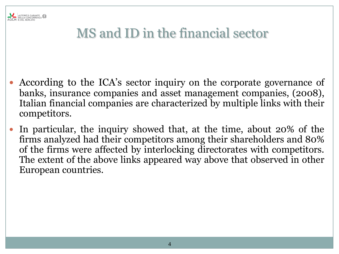

# MS and ID in the financial sector

- According to the ICA's sector inquiry on the corporate governance of banks, insurance companies and asset management companies, (2008), Italian financial companies are characterized by multiple links with their competitors.
- In particular, the inquiry showed that, at the time, about 20% of the firms analyzed had their competitors among their shareholders and 80% of the firms were affected by interlocking directorates with competitors. The extent of the above links appeared way above that observed in other European countries.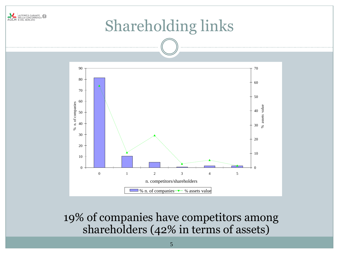

19% of companies have competitors among shareholders (42% in terms of assets)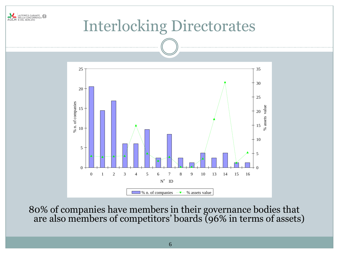

80% of companies have members in their governance bodies that are also members of competitors' boards (96% in terms of assets)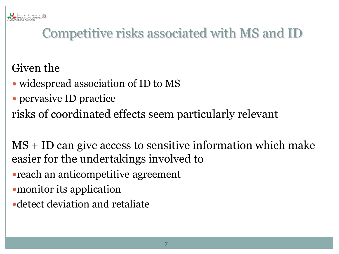# Competitive risks associated with MS and ID

#### Given the

- widespread association of ID to MS
- pervasive ID practice
- risks of coordinated effects seem particularly relevant

MS + ID can give access to sensitive information which make easier for the undertakings involved to

- reach an anticompetitive agreement
- monitor its application
- detect deviation and retaliate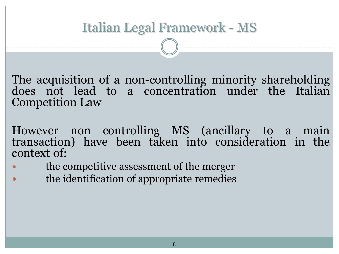#### Italian Legal Framework - MS

The acquisition of a non-controlling minority shareholding does not lead to a concentration under the Italian Competition Law

- However non controlling MS (ancillary to a main transaction) have been taken into consideration in the context of:
- the competitive assessment of the merger
- the identification of appropriate remedies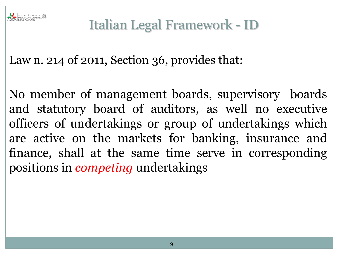

### Italian Legal Framework - ID

Law n. 214 of 2011, Section 36, provides that:

No member of management boards, supervisory boards and statutory board of auditors, as well no executive officers of undertakings or group of undertakings which are active on the markets for banking, insurance and finance, shall at the same time serve in corresponding positions in *competing* undertakings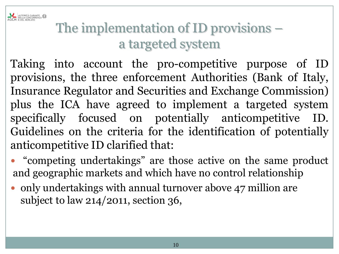

# The implementation of ID provisions – a targeted system

Taking into account the pro-competitive purpose of ID provisions, the three enforcement Authorities (Bank of Italy, Insurance Regulator and Securities and Exchange Commission) plus the ICA have agreed to implement a targeted system specifically focused on potentially anticompetitive ID. Guidelines on the criteria for the identification of potentially anticompetitive ID clarified that:

- "competing undertakings" are those active on the same product and geographic markets and which have no control relationship
- only undertakings with annual turnover above 47 million are subject to law 214/2011, section 36,